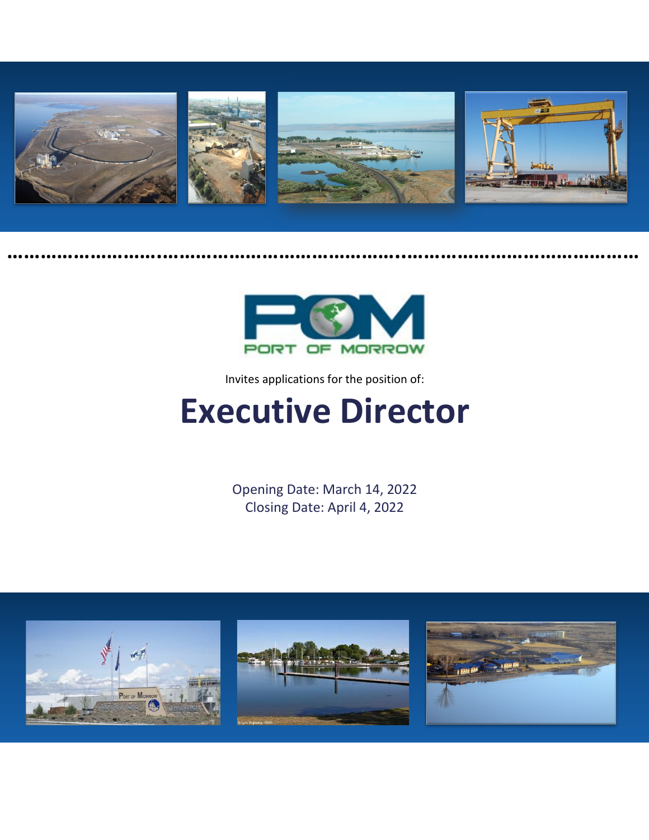

**……………………….……………………………………..……………………………………**



Invites applications for the position of:

# **Executive Director**

Opening Date: March 14, 2022 Closing Date: April 4, 2022

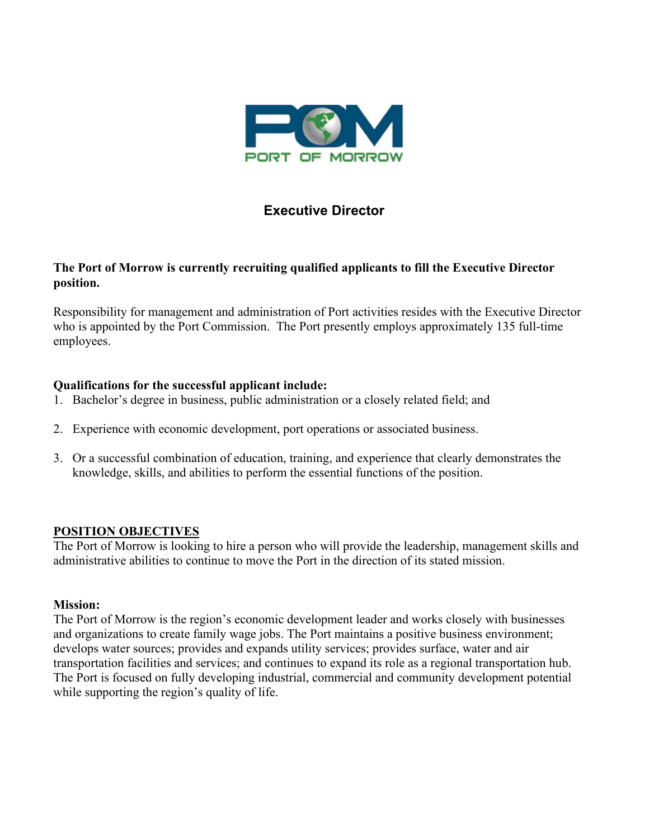

## **Executive Director**

#### **The Port of Morrow is currently recruiting qualified applicants to fill the Executive Director position.**

Responsibility for management and administration of Port activities resides with the Executive Director who is appointed by the Port Commission. The Port presently employs approximately 135 full-time employees.

#### **Qualifications for the successful applicant include:**

- 1. Bachelor's degree in business, public administration or a closely related field; and
- 2. Experience with economic development, port operations or associated business.
- 3. Or a successful combination of education, training, and experience that clearly demonstrates the knowledge, skills, and abilities to perform the essential functions of the position.

#### **POSITION OBJECTIVES**

The Port of Morrow is looking to hire a person who will provide the leadership, management skills and administrative abilities to continue to move the Port in the direction of its stated mission.

#### **Mission:**

The Port of Morrow is the region's economic development leader and works closely with businesses and organizations to create family wage jobs. The Port maintains a positive business environment; develops water sources; provides and expands utility services; provides surface, water and air transportation facilities and services; and continues to expand its role as a regional transportation hub. The Port is focused on fully developing industrial, commercial and community development potential while supporting the region's quality of life.